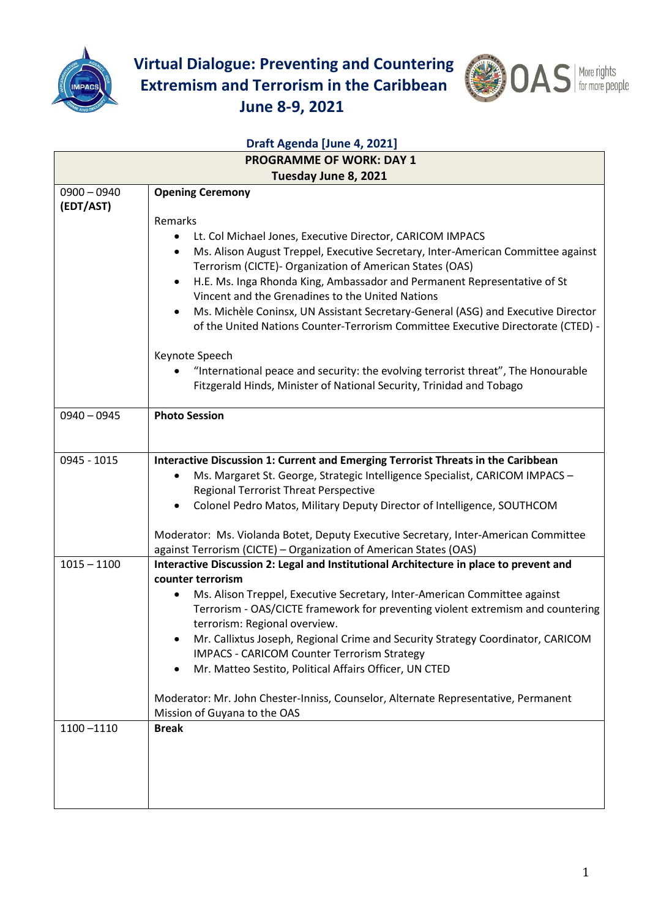

**Virtual Dialogue: Preventing and Countering Extremism and Terrorism in the Caribbean June 8-9, 2021**



| Draft Agenda [June 4, 2021]     |                                                                                                |  |
|---------------------------------|------------------------------------------------------------------------------------------------|--|
| <b>PROGRAMME OF WORK: DAY 1</b> |                                                                                                |  |
| $0900 - 0940$                   | Tuesday June 8, 2021                                                                           |  |
| (EDT/AST)                       | <b>Opening Ceremony</b>                                                                        |  |
|                                 | Remarks                                                                                        |  |
|                                 | Lt. Col Michael Jones, Executive Director, CARICOM IMPACS<br>$\bullet$                         |  |
|                                 | Ms. Alison August Treppel, Executive Secretary, Inter-American Committee against<br>$\bullet$  |  |
|                                 | Terrorism (CICTE)- Organization of American States (OAS)                                       |  |
|                                 | H.E. Ms. Inga Rhonda King, Ambassador and Permanent Representative of St<br>$\bullet$          |  |
|                                 | Vincent and the Grenadines to the United Nations                                               |  |
|                                 | Ms. Michèle Coninsx, UN Assistant Secretary-General (ASG) and Executive Director<br>$\bullet$  |  |
|                                 | of the United Nations Counter-Terrorism Committee Executive Directorate (CTED) -               |  |
|                                 | Keynote Speech                                                                                 |  |
|                                 | "International peace and security: the evolving terrorist threat", The Honourable<br>$\bullet$ |  |
|                                 | Fitzgerald Hinds, Minister of National Security, Trinidad and Tobago                           |  |
|                                 |                                                                                                |  |
| $0940 - 0945$                   | <b>Photo Session</b>                                                                           |  |
|                                 |                                                                                                |  |
| 0945 - 1015                     | Interactive Discussion 1: Current and Emerging Terrorist Threats in the Caribbean              |  |
|                                 | Ms. Margaret St. George, Strategic Intelligence Specialist, CARICOM IMPACS -<br>$\bullet$      |  |
|                                 | <b>Regional Terrorist Threat Perspective</b>                                                   |  |
|                                 | Colonel Pedro Matos, Military Deputy Director of Intelligence, SOUTHCOM<br>$\bullet$           |  |
|                                 | Moderator: Ms. Violanda Botet, Deputy Executive Secretary, Inter-American Committee            |  |
|                                 | against Terrorism (CICTE) - Organization of American States (OAS)                              |  |
| $1015 - 1100$                   | Interactive Discussion 2: Legal and Institutional Architecture in place to prevent and         |  |
|                                 | counter terrorism                                                                              |  |
|                                 | Ms. Alison Treppel, Executive Secretary, Inter-American Committee against<br>$\bullet$         |  |
|                                 | Terrorism - OAS/CICTE framework for preventing violent extremism and countering                |  |
|                                 | terrorism: Regional overview.                                                                  |  |
|                                 | Mr. Callixtus Joseph, Regional Crime and Security Strategy Coordinator, CARICOM<br>$\bullet$   |  |
|                                 | <b>IMPACS - CARICOM Counter Terrorism Strategy</b>                                             |  |
|                                 | Mr. Matteo Sestito, Political Affairs Officer, UN CTED<br>$\bullet$                            |  |
|                                 | Moderator: Mr. John Chester-Inniss, Counselor, Alternate Representative, Permanent             |  |
|                                 | Mission of Guyana to the OAS                                                                   |  |
| $1100 - 1110$                   | <b>Break</b>                                                                                   |  |
|                                 |                                                                                                |  |
|                                 |                                                                                                |  |
|                                 |                                                                                                |  |
|                                 |                                                                                                |  |
|                                 |                                                                                                |  |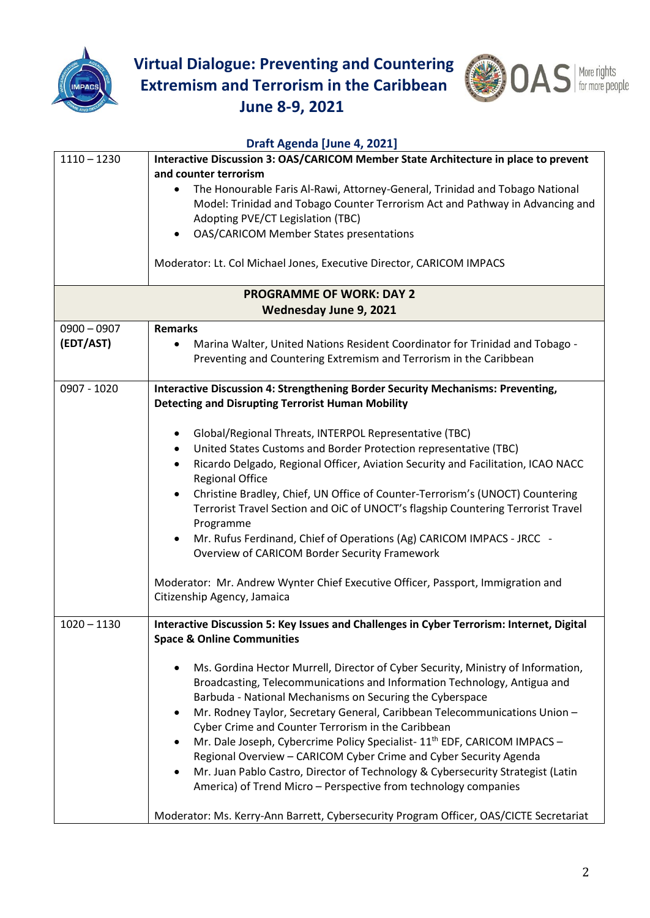

**Virtual Dialogue: Preventing and Countering Extremism and Terrorism in the Caribbean June 8-9, 2021**



## **Draft Agenda [June 4, 2021]** 1110 – 1230 **Interactive Discussion 3: OAS/CARICOM Member State Architecture in place to prevent and counter terrorism**  • The Honourable Faris Al-Rawi, Attorney-General, Trinidad and Tobago National Model: Trinidad and Tobago Counter Terrorism Act and Pathway in Advancing and Adopting PVE/CT Legislation (TBC) • OAS/CARICOM Member States presentations Moderator: Lt. Col Michael Jones, Executive Director, CARICOM IMPACS **PROGRAMME OF WORK: DAY 2 Wednesday June 9, 2021** 0900 – 0907 **(EDT/AST) Remarks** • Marina Walter, United Nations Resident Coordinator for Trinidad and Tobago - Preventing and Countering Extremism and Terrorism in the Caribbean 0907 - 1020 **Interactive Discussion 4: Strengthening Border Security Mechanisms: Preventing, Detecting and Disrupting Terrorist Human Mobility** • Global/Regional Threats, INTERPOL Representative (TBC) • United States Customs and Border Protection representative (TBC) • Ricardo Delgado, Regional Officer, Aviation Security and Facilitation, ICAO NACC Regional Office • Christine Bradley, Chief, UN Office of Counter-Terrorism's (UNOCT) Countering Terrorist Travel Section and OiC of UNOCT's flagship Countering Terrorist Travel Programme • Mr. Rufus Ferdinand, Chief of Operations (Ag) CARICOM IMPACS - JRCC - Overview of CARICOM Border Security Framework Moderator: Mr. Andrew Wynter Chief Executive Officer, Passport, Immigration and Citizenship Agency, Jamaica 1020 – 1130 **Interactive Discussion 5: Key Issues and Challenges in Cyber Terrorism: Internet, Digital Space & Online Communities** • Ms. Gordina Hector Murrell, Director of Cyber Security, Ministry of Information, Broadcasting, Telecommunications and Information Technology, Antigua and Barbuda - National Mechanisms on Securing the Cyberspace • Mr. Rodney Taylor, Secretary General, Caribbean Telecommunications Union – Cyber Crime and Counter Terrorism in the Caribbean Mr. Dale Joseph, Cybercrime Policy Specialist- 11<sup>th</sup> EDF, CARICOM IMPACS -Regional Overview – CARICOM Cyber Crime and Cyber Security Agenda • Mr. Juan Pablo Castro, Director of Technology & Cybersecurity Strategist (Latin America) of Trend Micro – Perspective from technology companies Moderator: Ms. Kerry-Ann Barrett, Cybersecurity Program Officer, OAS/CICTE Secretariat

## 2